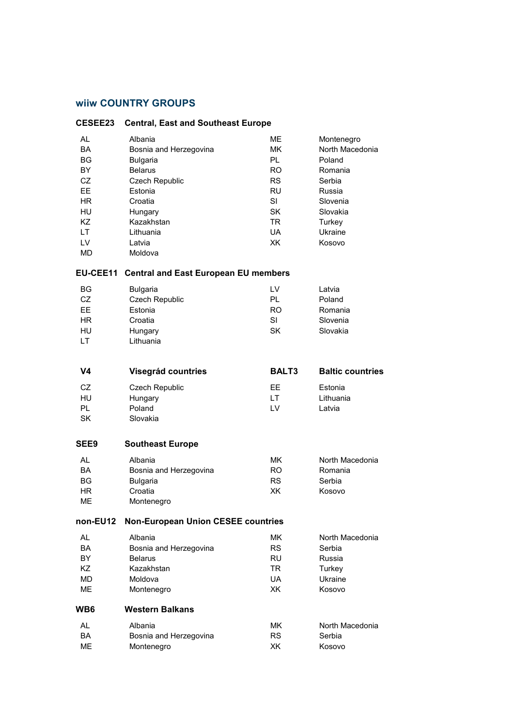## **wiiw COUNTRY GROUPS**

| <b>CESEE23</b>                                                                                                          | <b>Central, East and Southeast Europe</b>                                                                                                                          |                                                                                                                               |                                                                                                                               |  |
|-------------------------------------------------------------------------------------------------------------------------|--------------------------------------------------------------------------------------------------------------------------------------------------------------------|-------------------------------------------------------------------------------------------------------------------------------|-------------------------------------------------------------------------------------------------------------------------------|--|
| <b>AL</b><br><b>BA</b><br><b>BG</b><br><b>BY</b><br>CZ<br><b>EE</b><br><b>HR</b><br>HU<br>KZ.<br>LT.<br>LV<br><b>MD</b> | Albania<br>Bosnia and Herzegovina<br>Bulgaria<br><b>Belarus</b><br>Czech Republic<br>Estonia<br>Croatia<br>Hungary<br>Kazakhstan<br>Lithuania<br>Latvia<br>Moldova | <b>ME</b><br><b>MK</b><br>PL<br><b>RO</b><br><b>RS</b><br><b>RU</b><br><b>SI</b><br><b>SK</b><br><b>TR</b><br><b>UA</b><br>XK | Montenegro<br>North Macedonia<br>Poland<br>Romania<br>Serbia<br>Russia<br>Slovenia<br>Slovakia<br>Turkey<br>Ukraine<br>Kosovo |  |
| <b>EU-CEE11</b>                                                                                                         | <b>Central and East European EU members</b>                                                                                                                        |                                                                                                                               |                                                                                                                               |  |
| ΒG<br>CZ<br><b>EE</b><br><b>HR</b><br>HU<br><b>LT</b>                                                                   | Bulgaria<br>Czech Republic<br>Estonia<br>Croatia<br>Hungary<br>Lithuania                                                                                           | LV<br>PL<br><b>RO</b><br><b>SI</b><br><b>SK</b>                                                                               | Latvia<br>Poland<br>Romania<br>Slovenia<br>Slovakia                                                                           |  |
| V4                                                                                                                      | Visegrád countries                                                                                                                                                 | <b>BALT3</b>                                                                                                                  | <b>Baltic countries</b>                                                                                                       |  |
| CZ<br>HU<br>PL<br>SK                                                                                                    | Czech Republic<br>Hungary<br>Poland<br>Slovakia                                                                                                                    | EЕ<br>LT.<br>LV                                                                                                               | Estonia<br>Lithuania<br>Latvia                                                                                                |  |
| SEE9                                                                                                                    | <b>Southeast Europe</b>                                                                                                                                            |                                                                                                                               |                                                                                                                               |  |
| <b>AL</b><br><b>BA</b><br><b>BG</b><br><b>HR</b><br>MЕ                                                                  | Albania<br>Bosnia and Herzegovina<br>Bulgaria<br>Croatia<br>Montenegro                                                                                             | <b>MK</b><br><b>RO</b><br><b>RS</b><br>XK                                                                                     | North Macedonia<br>Romania<br>Serbia<br>Kosovo                                                                                |  |
| non-EU12                                                                                                                | <b>Non-European Union CESEE countries</b>                                                                                                                          |                                                                                                                               |                                                                                                                               |  |
| AL.<br><b>BA</b><br><b>BY</b><br>KZ<br>MD<br><b>ME</b>                                                                  | Albania<br>Bosnia and Herzegovina<br><b>Belarus</b><br>Kazakhstan<br>Moldova<br>Montenegro                                                                         | <b>MK</b><br><b>RS</b><br><b>RU</b><br><b>TR</b><br><b>UA</b><br>XK                                                           | North Macedonia<br>Serbia<br>Russia<br>Turkey<br>Ukraine<br>Kosovo                                                            |  |
| WB6                                                                                                                     | <b>Western Balkans</b>                                                                                                                                             |                                                                                                                               |                                                                                                                               |  |
| AL<br><b>BA</b><br>ME                                                                                                   | Albania<br>Bosnia and Herzegovina<br>Montenegro                                                                                                                    | MK.<br><b>RS</b><br>XK                                                                                                        | North Macedonia<br>Serbia<br>Kosovo                                                                                           |  |